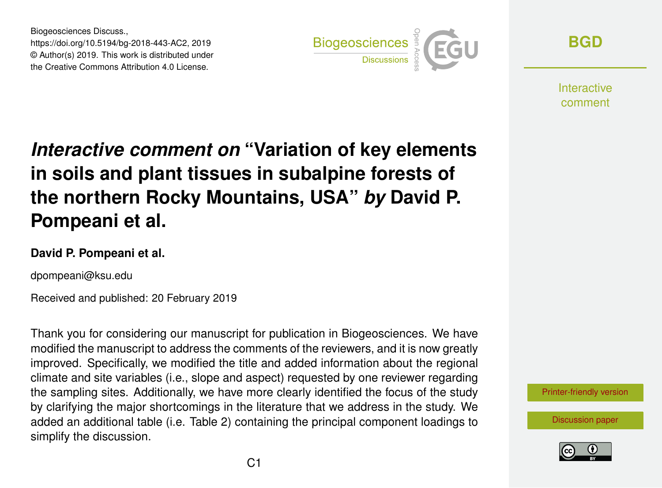Biogeosciences Discuss., https://doi.org/10.5194/bg-2018-443-AC2, 2019 © Author(s) 2019. This work is distributed under the Creative Commons Attribution 4.0 License.



**[BGD](https://www.biogeosciences-discuss.net/)**

**Interactive** comment

## *Interactive comment on* **"Variation of key elements in soils and plant tissues in subalpine forests of the northern Rocky Mountains, USA"** *by* **David P. Pompeani et al.**

## **David P. Pompeani et al.**

dpompeani@ksu.edu

Received and published: 20 February 2019

Thank you for considering our manuscript for publication in Biogeosciences. We have modified the manuscript to address the comments of the reviewers, and it is now greatly improved. Specifically, we modified the title and added information about the regional climate and site variables (i.e., slope and aspect) requested by one reviewer regarding the sampling sites. Additionally, we have more clearly identified the focus of the study by clarifying the major shortcomings in the literature that we address in the study. We added an additional table (i.e. Table 2) containing the principal component loadings to simplify the discussion.

[Printer-friendly version](https://www.biogeosciences-discuss.net/bg-2018-443/bg-2018-443-AC2-print.pdf)

[Discussion paper](https://www.biogeosciences-discuss.net/bg-2018-443)